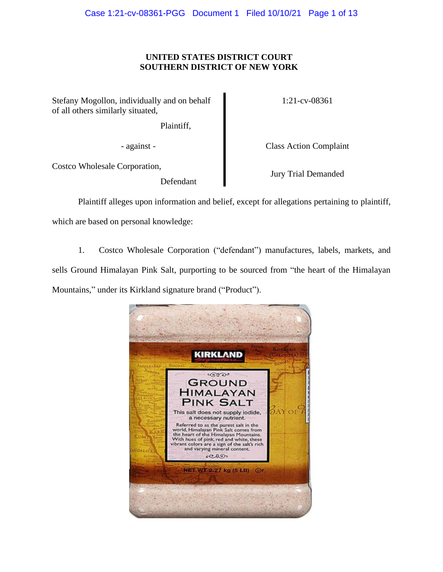# **UNITED STATES DISTRICT COURT SOUTHERN DISTRICT OF NEW YORK**

Stefany Mogollon, individually and on behalf of all others similarly situated,

Plaintiff,

Costco Wholesale Corporation,

Defendant

1:21-cv-08361

- against - Class Action Complaint

Jury Trial Demanded

Plaintiff alleges upon information and belief, except for allegations pertaining to plaintiff, which are based on personal knowledge:

1. Costco Wholesale Corporation ("defendant") manufactures, labels, markets, and sells Ground Himalayan Pink Salt, purporting to be sourced from "the heart of the Himalayan Mountains," under its Kirkland signature brand ("Product").

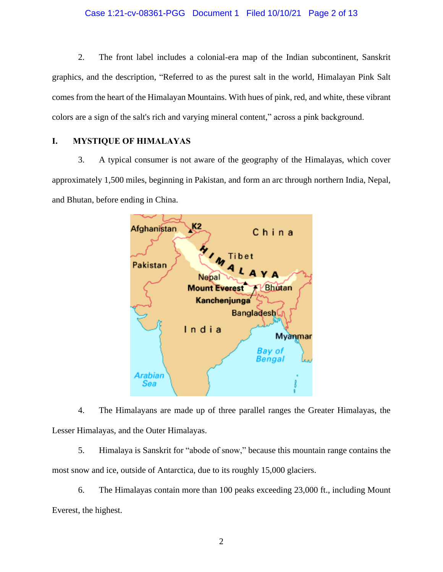# Case 1:21-cv-08361-PGG Document 1 Filed 10/10/21 Page 2 of 13

2. The front label includes a colonial-era map of the Indian subcontinent, Sanskrit graphics, and the description, "Referred to as the purest salt in the world, Himalayan Pink Salt comes from the heart of the Himalayan Mountains. With hues of pink, red, and white, these vibrant colors are a sign of the salt's rich and varying mineral content," across a pink background.

# **I. MYSTIQUE OF HIMALAYAS**

3. A typical consumer is not aware of the geography of the Himalayas, which cover approximately 1,500 miles, beginning in Pakistan, and form an arc through northern India, Nepal, and Bhutan, before ending in China.



4. The Himalayans are made up of three parallel ranges the Greater Himalayas, the Lesser Himalayas, and the Outer Himalayas.

5. Himalaya is Sanskrit for "abode of snow," because this mountain range contains the most snow and ice, outside of Antarctica, due to its roughly 15,000 glaciers.

6. The Himalayas contain more than 100 peaks exceeding 23,000 ft., including Mount Everest, the highest.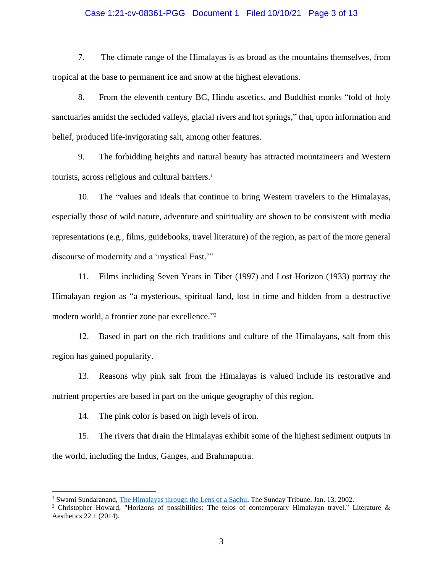## Case 1:21-cv-08361-PGG Document 1 Filed 10/10/21 Page 3 of 13

7. The climate range of the Himalayas is as broad as the mountains themselves, from tropical at the base to permanent ice and snow at the highest elevations.

8. From the eleventh century BC, Hindu ascetics, and Buddhist monks "told of holy sanctuaries amidst the secluded valleys, glacial rivers and hot springs," that, upon information and belief, produced life-invigorating salt, among other features.

9. The forbidding heights and natural beauty has attracted mountaineers and Western tourists, across religious and cultural barriers. 1

10. The "values and ideals that continue to bring Western travelers to the Himalayas, especially those of wild nature, adventure and spirituality are shown to be consistent with media representations (e.g., films, guidebooks, travel literature) of the region, as part of the more general discourse of modernity and a 'mystical East.'"

11. Films including Seven Years in Tibet (1997) and Lost Horizon (1933) portray the Himalayan region as "a mysterious, spiritual land, lost in time and hidden from a destructive modern world, a frontier zone par excellence." 2

12. Based in part on the rich traditions and culture of the Himalayans, salt from this region has gained popularity.

13. Reasons why pink salt from the Himalayas is valued include its restorative and nutrient properties are based in part on the unique geography of this region.

14. The pink color is based on high levels of iron.

15. The rivers that drain the Himalayas exhibit some of the highest sediment outputs in the world, including the Indus, Ganges, and Brahmaputra.

<sup>&</sup>lt;sup>1</sup> Swami Sundaranand, [The Himalayas through the Lens of a Sadhu,](https://www.tribuneindia.com/2002/20020113/spectrum/main1.htm) The Sunday Tribune, Jan. 13, 2002.

<sup>&</sup>lt;sup>2</sup> Christopher Howard, "Horizons of possibilities: The telos of contemporary Himalayan travel." Literature & Aesthetics 22.1 (2014).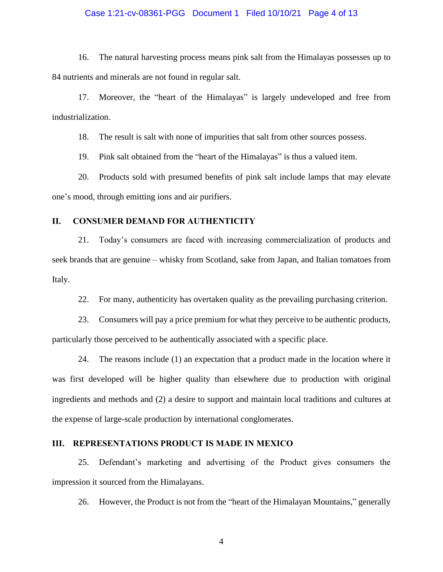## Case 1:21-cv-08361-PGG Document 1 Filed 10/10/21 Page 4 of 13

16. The natural harvesting process means pink salt from the Himalayas possesses up to 84 nutrients and minerals are not found in regular salt.

17. Moreover, the "heart of the Himalayas" is largely undeveloped and free from industrialization.

18. The result is salt with none of impurities that salt from other sources possess.

19. Pink salt obtained from the "heart of the Himalayas" is thus a valued item.

20. Products sold with presumed benefits of pink salt include lamps that may elevate one's mood, through emitting ions and air purifiers.

# **II. CONSUMER DEMAND FOR AUTHENTICITY**

21. Today's consumers are faced with increasing commercialization of products and seek brands that are genuine – whisky from Scotland, sake from Japan, and Italian tomatoes from Italy.

22. For many, authenticity has overtaken quality as the prevailing purchasing criterion.

23. Consumers will pay a price premium for what they perceive to be authentic products, particularly those perceived to be authentically associated with a specific place.

24. The reasons include (1) an expectation that a product made in the location where it was first developed will be higher quality than elsewhere due to production with original ingredients and methods and (2) a desire to support and maintain local traditions and cultures at the expense of large-scale production by international conglomerates.

## **III. REPRESENTATIONS PRODUCT IS MADE IN MEXICO**

25. Defendant's marketing and advertising of the Product gives consumers the impression it sourced from the Himalayans.

26. However, the Product is not from the "heart of the Himalayan Mountains," generally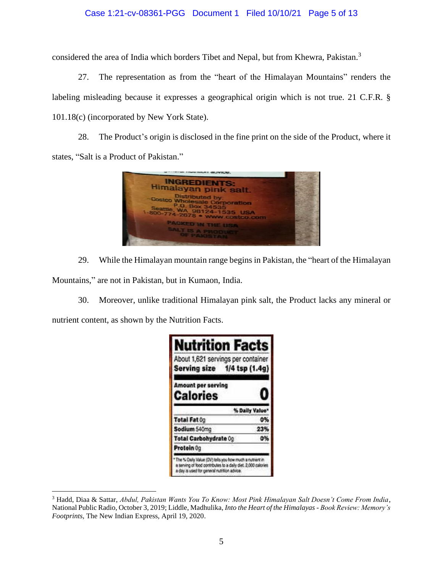# Case 1:21-cv-08361-PGG Document 1 Filed 10/10/21 Page 5 of 13

considered the area of India which borders Tibet and Nepal, but from Khewra, Pakistan. 3

27. The representation as from the "heart of the Himalayan Mountains" renders the labeling misleading because it expresses a geographical origin which is not true. 21 C.F.R. § 101.18(c) (incorporated by New York State).

28. The Product's origin is disclosed in the fine print on the side of the Product, where it states, "Salt is a Product of Pakistan."



29. While the Himalayan mountain range begins in Pakistan, the "heart of the Himalayan

Mountains," are not in Pakistan, but in Kumaon, India.

30. Moreover, unlike traditional Himalayan pink salt, the Product lacks any mineral or

nutrient content, as shown by the Nutrition Facts.

| <b>Nutrition Facts</b>                                                                                                                                                 |                |
|------------------------------------------------------------------------------------------------------------------------------------------------------------------------|----------------|
| About 1,621 servings per container<br>Serving size 1/4 tsp (1.4g)                                                                                                      |                |
| Amount per serving<br><b>Calories</b>                                                                                                                                  | u              |
|                                                                                                                                                                        | % Daily Value* |
| Total Fat 0g                                                                                                                                                           | 0%             |
| Sodium 540mg                                                                                                                                                           | 23%            |
| Total Carbohydrate 0g                                                                                                                                                  | O٦             |
| Protein 0g                                                                                                                                                             |                |
| The % Daily Value (DV) tells you how much a nutrient in<br>a serving of food contributes to a daily diet. 2,000 calories<br>a day is used for general rubition advice. |                |

<sup>3</sup> Hadd, Diaa & Sattar, *Abdul, Pakistan Wants You To Know: Most Pink Himalayan Salt Doesn't Come From India*, National Public Radio, October 3, 2019; Liddle, Madhulika, *Into the Heart of the Himalayas - Book Review: Memory's Footprints*, The New Indian Express, April 19, 2020.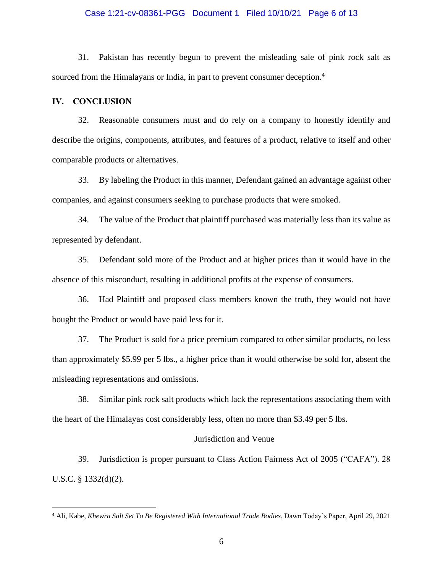### Case 1:21-cv-08361-PGG Document 1 Filed 10/10/21 Page 6 of 13

31. Pakistan has recently begun to prevent the misleading sale of pink rock salt as sourced from the Himalayans or India, in part to prevent consumer deception.<sup>4</sup>

## **IV. CONCLUSION**

32. Reasonable consumers must and do rely on a company to honestly identify and describe the origins, components, attributes, and features of a product, relative to itself and other comparable products or alternatives.

33. By labeling the Product in this manner, Defendant gained an advantage against other companies, and against consumers seeking to purchase products that were smoked.

34. The value of the Product that plaintiff purchased was materially less than its value as represented by defendant.

35. Defendant sold more of the Product and at higher prices than it would have in the absence of this misconduct, resulting in additional profits at the expense of consumers.

36. Had Plaintiff and proposed class members known the truth, they would not have bought the Product or would have paid less for it.

37. The Product is sold for a price premium compared to other similar products, no less than approximately \$5.99 per 5 lbs., a higher price than it would otherwise be sold for, absent the misleading representations and omissions.

38. Similar pink rock salt products which lack the representations associating them with the heart of the Himalayas cost considerably less, often no more than \$3.49 per 5 lbs.

#### Jurisdiction and Venue

39. Jurisdiction is proper pursuant to Class Action Fairness Act of 2005 ("CAFA"). 28 U.S.C. § 1332(d)(2).

<sup>4</sup> Ali, Kabe, *Khewra Salt Set To Be Registered With International Trade Bodies*, Dawn Today's Paper, April 29, 2021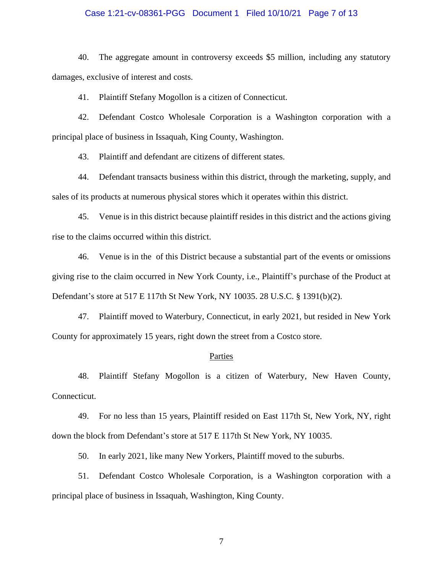#### Case 1:21-cv-08361-PGG Document 1 Filed 10/10/21 Page 7 of 13

40. The aggregate amount in controversy exceeds \$5 million, including any statutory damages, exclusive of interest and costs.

41. Plaintiff Stefany Mogollon is a citizen of Connecticut.

42. Defendant Costco Wholesale Corporation is a Washington corporation with a principal place of business in Issaquah, King County, Washington.

43. Plaintiff and defendant are citizens of different states.

44. Defendant transacts business within this district, through the marketing, supply, and sales of its products at numerous physical stores which it operates within this district.

45. Venue is in this district because plaintiff resides in this district and the actions giving rise to the claims occurred within this district.

46. Venue is in the of this District because a substantial part of the events or omissions giving rise to the claim occurred in New York County, i.e., Plaintiff's purchase of the Product at Defendant's store at 517 E 117th St New York, NY 10035. 28 U.S.C. § 1391(b)(2).

47. Plaintiff moved to Waterbury, Connecticut, in early 2021, but resided in New York County for approximately 15 years, right down the street from a Costco store.

#### Parties

48. Plaintiff Stefany Mogollon is a citizen of Waterbury, New Haven County, Connecticut.

49. For no less than 15 years, Plaintiff resided on East 117th St, New York, NY, right down the block from Defendant's store at 517 E 117th St New York, NY 10035.

50. In early 2021, like many New Yorkers, Plaintiff moved to the suburbs.

51. Defendant Costco Wholesale Corporation, is a Washington corporation with a principal place of business in Issaquah, Washington, King County.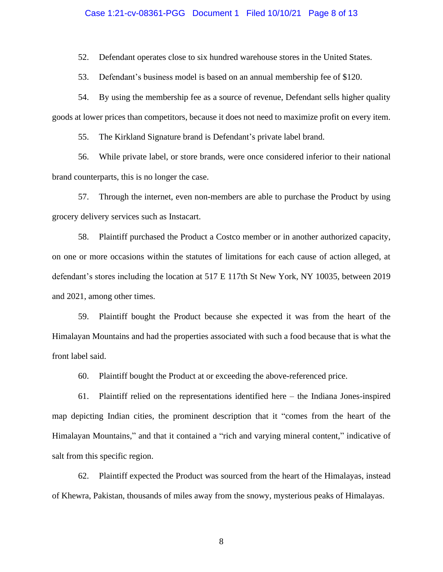#### Case 1:21-cv-08361-PGG Document 1 Filed 10/10/21 Page 8 of 13

52. Defendant operates close to six hundred warehouse stores in the United States.

53. Defendant's business model is based on an annual membership fee of \$120.

54. By using the membership fee as a source of revenue, Defendant sells higher quality goods at lower prices than competitors, because it does not need to maximize profit on every item.

55. The Kirkland Signature brand is Defendant's private label brand.

56. While private label, or store brands, were once considered inferior to their national brand counterparts, this is no longer the case.

57. Through the internet, even non-members are able to purchase the Product by using grocery delivery services such as Instacart.

58. Plaintiff purchased the Product a Costco member or in another authorized capacity, on one or more occasions within the statutes of limitations for each cause of action alleged, at defendant's stores including the location at 517 E 117th St New York, NY 10035, between 2019 and 2021, among other times.

59. Plaintiff bought the Product because she expected it was from the heart of the Himalayan Mountains and had the properties associated with such a food because that is what the front label said.

60. Plaintiff bought the Product at or exceeding the above-referenced price.

61. Plaintiff relied on the representations identified here – the Indiana Jones-inspired map depicting Indian cities, the prominent description that it "comes from the heart of the Himalayan Mountains," and that it contained a "rich and varying mineral content," indicative of salt from this specific region.

62. Plaintiff expected the Product was sourced from the heart of the Himalayas, instead of Khewra, Pakistan, thousands of miles away from the snowy, mysterious peaks of Himalayas.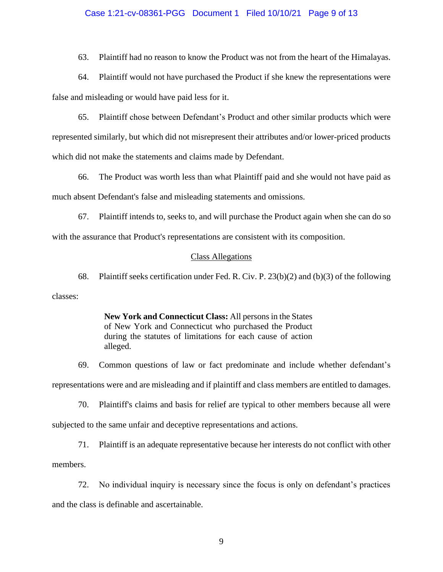#### Case 1:21-cv-08361-PGG Document 1 Filed 10/10/21 Page 9 of 13

63. Plaintiff had no reason to know the Product was not from the heart of the Himalayas.

64. Plaintiff would not have purchased the Product if she knew the representations were false and misleading or would have paid less for it.

65. Plaintiff chose between Defendant's Product and other similar products which were represented similarly, but which did not misrepresent their attributes and/or lower-priced products which did not make the statements and claims made by Defendant.

66. The Product was worth less than what Plaintiff paid and she would not have paid as much absent Defendant's false and misleading statements and omissions.

67. Plaintiff intends to, seeks to, and will purchase the Product again when she can do so with the assurance that Product's representations are consistent with its composition.

## Class Allegations

68. Plaintiff seeks certification under Fed. R. Civ. P. 23(b)(2) and (b)(3) of the following classes:

> **New York and Connecticut Class:** All persons in the States of New York and Connecticut who purchased the Product during the statutes of limitations for each cause of action alleged.

69. Common questions of law or fact predominate and include whether defendant's representations were and are misleading and if plaintiff and class members are entitled to damages.

70. Plaintiff's claims and basis for relief are typical to other members because all were subjected to the same unfair and deceptive representations and actions.

71. Plaintiff is an adequate representative because her interests do not conflict with other members.

72. No individual inquiry is necessary since the focus is only on defendant's practices and the class is definable and ascertainable.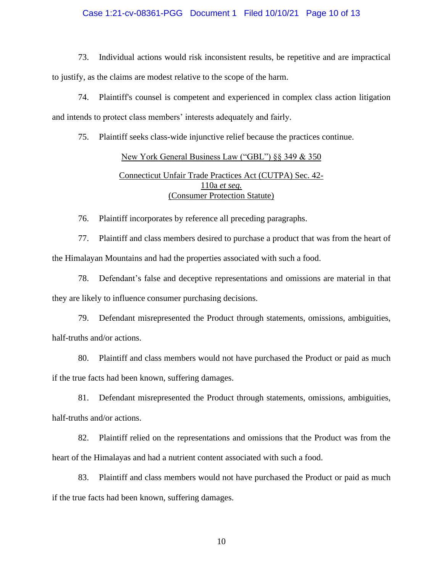# Case 1:21-cv-08361-PGG Document 1 Filed 10/10/21 Page 10 of 13

73. Individual actions would risk inconsistent results, be repetitive and are impractical to justify, as the claims are modest relative to the scope of the harm.

74. Plaintiff's counsel is competent and experienced in complex class action litigation and intends to protect class members' interests adequately and fairly.

75. Plaintiff seeks class-wide injunctive relief because the practices continue.

# New York General Business Law ("GBL") §§ 349 & 350 Connecticut Unfair Trade Practices Act (CUTPA) Sec. 42- 110a *et seq.* (Consumer Protection Statute)

76. Plaintiff incorporates by reference all preceding paragraphs.

77. Plaintiff and class members desired to purchase a product that was from the heart of the Himalayan Mountains and had the properties associated with such a food.

78. Defendant's false and deceptive representations and omissions are material in that they are likely to influence consumer purchasing decisions.

79. Defendant misrepresented the Product through statements, omissions, ambiguities, half-truths and/or actions.

80. Plaintiff and class members would not have purchased the Product or paid as much if the true facts had been known, suffering damages.

81. Defendant misrepresented the Product through statements, omissions, ambiguities, half-truths and/or actions.

82. Plaintiff relied on the representations and omissions that the Product was from the heart of the Himalayas and had a nutrient content associated with such a food.

83. Plaintiff and class members would not have purchased the Product or paid as much if the true facts had been known, suffering damages.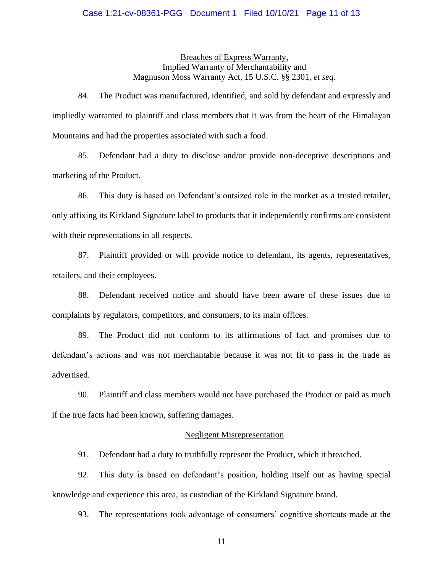# Breaches of Express Warranty, Implied Warranty of Merchantability and Magnuson Moss Warranty Act, 15 U.S.C. §§ 2301, *et seq*.

84. The Product was manufactured, identified, and sold by defendant and expressly and impliedly warranted to plaintiff and class members that it was from the heart of the Himalayan Mountains and had the properties associated with such a food.

85. Defendant had a duty to disclose and/or provide non-deceptive descriptions and marketing of the Product.

86. This duty is based on Defendant's outsized role in the market as a trusted retailer, only affixing its Kirkland Signature label to products that it independently confirms are consistent with their representations in all respects.

87. Plaintiff provided or will provide notice to defendant, its agents, representatives, retailers, and their employees.

88. Defendant received notice and should have been aware of these issues due to complaints by regulators, competitors, and consumers, to its main offices.

89. The Product did not conform to its affirmations of fact and promises due to defendant's actions and was not merchantable because it was not fit to pass in the trade as advertised.

90. Plaintiff and class members would not have purchased the Product or paid as much if the true facts had been known, suffering damages.

## Negligent Misrepresentation

91. Defendant had a duty to truthfully represent the Product, which it breached.

92. This duty is based on defendant's position, holding itself out as having special knowledge and experience this area, as custodian of the Kirkland Signature brand.

93. The representations took advantage of consumers' cognitive shortcuts made at the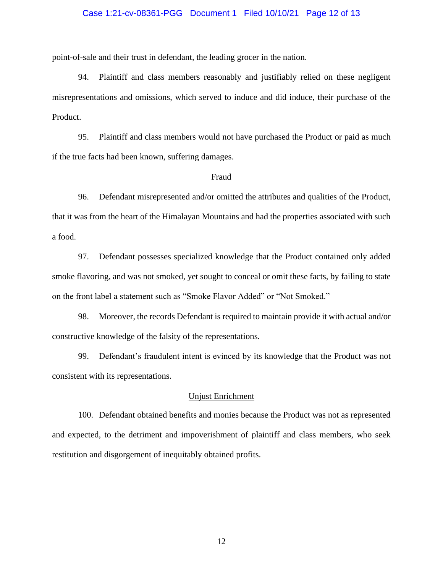# Case 1:21-cv-08361-PGG Document 1 Filed 10/10/21 Page 12 of 13

point-of-sale and their trust in defendant, the leading grocer in the nation.

94. Plaintiff and class members reasonably and justifiably relied on these negligent misrepresentations and omissions, which served to induce and did induce, their purchase of the Product.

95. Plaintiff and class members would not have purchased the Product or paid as much if the true facts had been known, suffering damages.

## Fraud

96. Defendant misrepresented and/or omitted the attributes and qualities of the Product, that it was from the heart of the Himalayan Mountains and had the properties associated with such a food.

97. Defendant possesses specialized knowledge that the Product contained only added smoke flavoring, and was not smoked, yet sought to conceal or omit these facts, by failing to state on the front label a statement such as "Smoke Flavor Added" or "Not Smoked."

98. Moreover, the records Defendant is required to maintain provide it with actual and/or constructive knowledge of the falsity of the representations.

99. Defendant's fraudulent intent is evinced by its knowledge that the Product was not consistent with its representations.

## Unjust Enrichment

100. Defendant obtained benefits and monies because the Product was not as represented and expected, to the detriment and impoverishment of plaintiff and class members, who seek restitution and disgorgement of inequitably obtained profits.